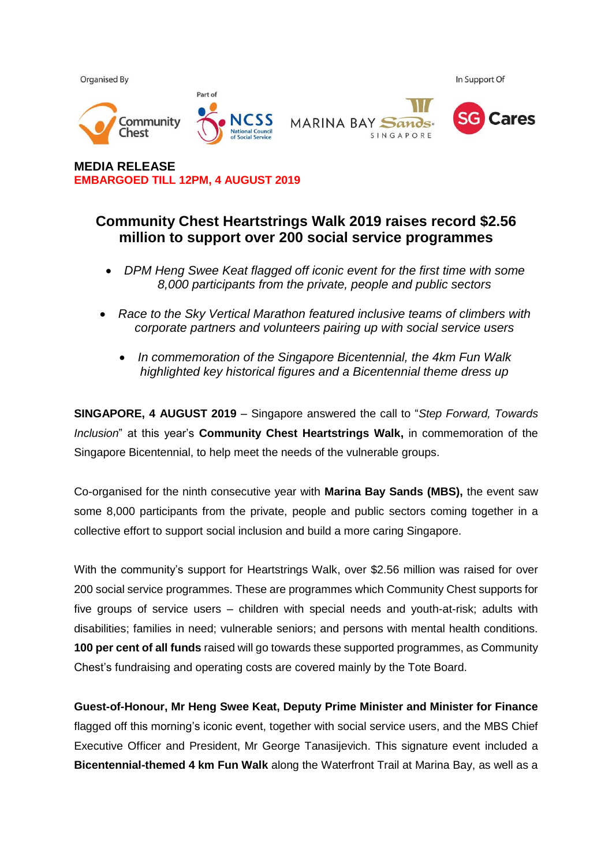

**MEDIA RELEASE EMBARGOED TILL 12PM, 4 AUGUST 2019**

## **Community Chest Heartstrings Walk 2019 raises record \$2.56 million to support over 200 social service programmes**

- *DPM Heng Swee Keat flagged off iconic event for the first time with some 8,000 participants from the private, people and public sectors*
- *Race to the Sky Vertical Marathon featured inclusive teams of climbers with corporate partners and volunteers pairing up with social service users*
	- *In commemoration of the Singapore Bicentennial, the 4km Fun Walk highlighted key historical figures and a Bicentennial theme dress up*

**SINGAPORE, 4 AUGUST 2019** – Singapore answered the call to "*Step Forward, Towards Inclusion*" at this year's **Community Chest Heartstrings Walk,** in commemoration of the Singapore Bicentennial, to help meet the needs of the vulnerable groups.

Co-organised for the ninth consecutive year with **Marina Bay Sands (MBS),** the event saw some 8,000 participants from the private, people and public sectors coming together in a collective effort to support social inclusion and build a more caring Singapore.

With the community's support for Heartstrings Walk, over \$2.56 million was raised for over 200 social service programmes. These are programmes which Community Chest supports for five groups of service users – children with special needs and youth-at-risk; adults with disabilities; families in need; vulnerable seniors; and persons with mental health conditions. **100 per cent of all funds** raised will go towards these supported programmes, as Community Chest's fundraising and operating costs are covered mainly by the Tote Board.

**Guest-of-Honour, Mr Heng Swee Keat, Deputy Prime Minister and Minister for Finance** flagged off this morning's iconic event, together with social service users, and the MBS Chief Executive Officer and President, Mr George Tanasijevich. This signature event included a **Bicentennial-themed 4 km Fun Walk** along the Waterfront Trail at Marina Bay, as well as a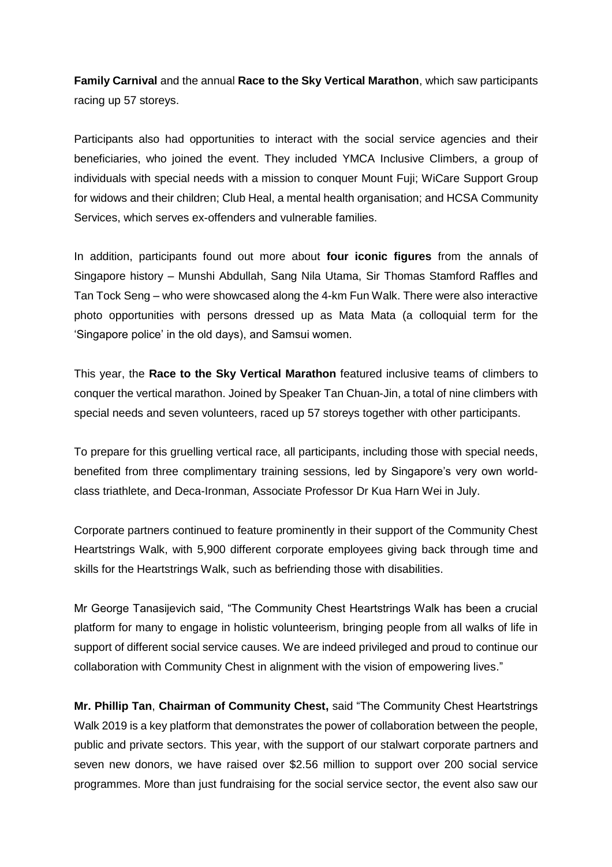**Family Carnival** and the annual **Race to the Sky Vertical Marathon**, which saw participants racing up 57 storeys.

Participants also had opportunities to interact with the social service agencies and their beneficiaries, who joined the event. They included YMCA Inclusive Climbers, a group of individuals with special needs with a mission to conquer Mount Fuji; WiCare Support Group for widows and their children; Club Heal, a mental health organisation; and HCSA Community Services, which serves ex-offenders and vulnerable families.

In addition, participants found out more about **four iconic figures** from the annals of Singapore history – Munshi Abdullah, Sang Nila Utama, Sir Thomas Stamford Raffles and Tan Tock Seng – who were showcased along the 4-km Fun Walk. There were also interactive photo opportunities with persons dressed up as Mata Mata (a colloquial term for the 'Singapore police' in the old days), and Samsui women.

This year, the **Race to the Sky Vertical Marathon** featured inclusive teams of climbers to conquer the vertical marathon. Joined by Speaker Tan Chuan-Jin, a total of nine climbers with special needs and seven volunteers, raced up 57 storeys together with other participants.

To prepare for this gruelling vertical race, all participants, including those with special needs, benefited from three complimentary training sessions, led by Singapore's very own worldclass triathlete, and Deca-Ironman, Associate Professor Dr Kua Harn Wei in July.

Corporate partners continued to feature prominently in their support of the Community Chest Heartstrings Walk, with 5,900 different corporate employees giving back through time and skills for the Heartstrings Walk, such as befriending those with disabilities.

Mr George Tanasijevich said, "The Community Chest Heartstrings Walk has been a crucial platform for many to engage in holistic volunteerism, bringing people from all walks of life in support of different social service causes. We are indeed privileged and proud to continue our collaboration with Community Chest in alignment with the vision of empowering lives."

**Mr. Phillip Tan**, **Chairman of Community Chest,** said "The Community Chest Heartstrings Walk 2019 is a key platform that demonstrates the power of collaboration between the people, public and private sectors. This year, with the support of our stalwart corporate partners and seven new donors, we have raised over \$2.56 million to support over 200 social service programmes. More than just fundraising for the social service sector, the event also saw our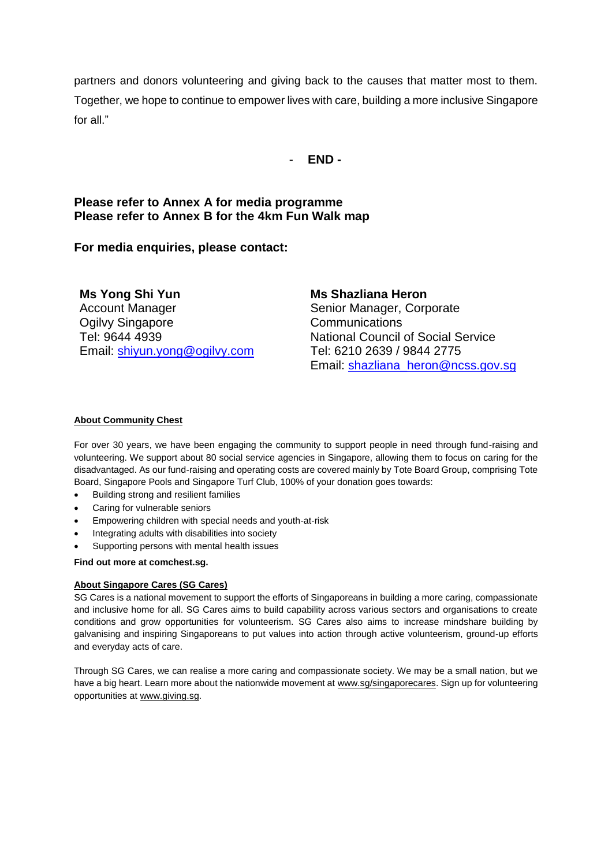partners and donors volunteering and giving back to the causes that matter most to them. Together, we hope to continue to empower lives with care, building a more inclusive Singapore for all."

- **END -**

## **Please refer to Annex A for media programme Please refer to Annex B for the 4km Fun Walk map**

**For media enquiries, please contact:** 

**Ms Yong Shi Yun**  Account Manager Ogilvy Singapore Tel: 9644 4939 Email: [shiyun.yong@ogilvy.com](mailto:shiyun.yong@ogilvy.com) **Ms Shazliana Heron** Senior Manager, Corporate Communications National Council of Social Service Tel: 6210 2639 / 9844 2775 Email: [shazliana\\_heron@ncss.gov.sg](mailto:shazliana_heron@ncss.gov.sg)

#### **About Community Chest**

For over 30 years, we have been engaging the community to support people in need through fund-raising and volunteering. We support about 80 social service agencies in Singapore, allowing them to focus on caring for the disadvantaged. As our fund-raising and operating costs are covered mainly by Tote Board Group, comprising Tote Board, Singapore Pools and Singapore Turf Club, 100% of your donation goes towards:

- Building strong and resilient families
- Caring for vulnerable seniors
- Empowering children with special needs and youth-at-risk
- Integrating adults with disabilities into society
- Supporting persons with mental health issues

**Find out more at comchest.sg.** 

#### **About Singapore Cares (SG Cares)**

SG Cares is a national movement to support the efforts of Singaporeans in building a more caring, compassionate and inclusive home for all. SG Cares aims to build capability across various sectors and organisations to create conditions and grow opportunities for volunteerism. SG Cares also aims to increase mindshare building by galvanising and inspiring Singaporeans to put values into action through active volunteerism, ground-up efforts and everyday acts of care.

Through SG Cares, we can realise a more caring and compassionate society. We may be a small nation, but we have a big heart. Learn more about the nationwide movement at [www.sg/singaporecares.](http://www.sg/singaporecares) Sign up for volunteering opportunities at [www.giving.sg.](http://www.giving.sg/)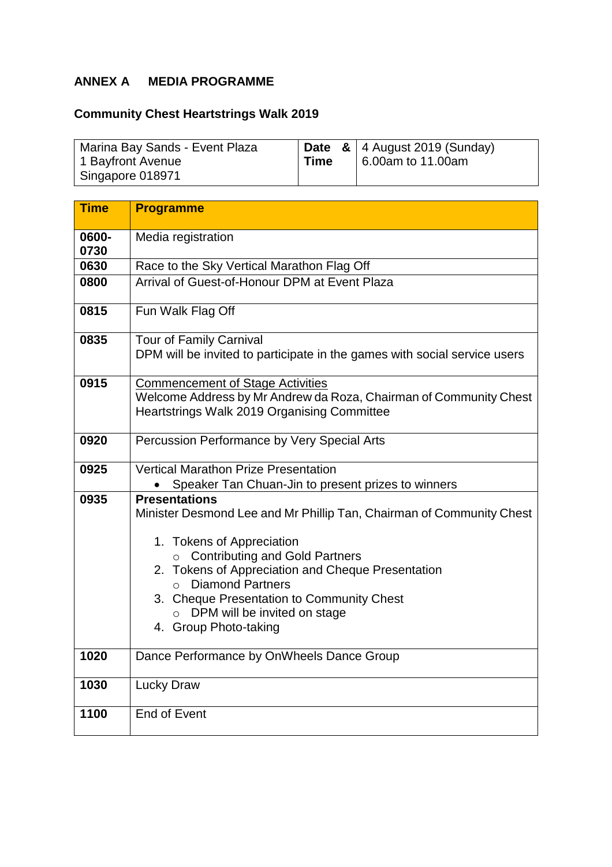# **ANNEX A MEDIA PROGRAMME**

# **Community Chest Heartstrings Walk 2019**

| Marina Bay Sands - Event Plaza |      | <b>Date &amp;   4 August 2019 (Sunday)</b> |
|--------------------------------|------|--------------------------------------------|
| 1 Bayfront Avenue              | Time | 6.00am to 11.00am                          |
| Singapore 018971               |      |                                            |

| <b>Time</b>   | <b>Programme</b>                                                                                                                                                                                                                                         |  |  |  |
|---------------|----------------------------------------------------------------------------------------------------------------------------------------------------------------------------------------------------------------------------------------------------------|--|--|--|
| 0600-<br>0730 | Media registration                                                                                                                                                                                                                                       |  |  |  |
| 0630          | Race to the Sky Vertical Marathon Flag Off                                                                                                                                                                                                               |  |  |  |
| 0800          | Arrival of Guest-of-Honour DPM at Event Plaza                                                                                                                                                                                                            |  |  |  |
| 0815          | Fun Walk Flag Off                                                                                                                                                                                                                                        |  |  |  |
| 0835          | Tour of Family Carnival<br>DPM will be invited to participate in the games with social service users                                                                                                                                                     |  |  |  |
| 0915          | <b>Commencement of Stage Activities</b><br>Welcome Address by Mr Andrew da Roza, Chairman of Community Chest<br>Heartstrings Walk 2019 Organising Committee                                                                                              |  |  |  |
| 0920          | Percussion Performance by Very Special Arts                                                                                                                                                                                                              |  |  |  |
| 0925          | <b>Vertical Marathon Prize Presentation</b>                                                                                                                                                                                                              |  |  |  |
|               | Speaker Tan Chuan-Jin to present prizes to winners                                                                                                                                                                                                       |  |  |  |
| 0935          | <b>Presentations</b><br>Minister Desmond Lee and Mr Phillip Tan, Chairman of Community Chest<br>1. Tokens of Appreciation<br><b>Contributing and Gold Partners</b><br>$\circ$<br>2. Tokens of Appreciation and Cheque Presentation<br>o Diamond Partners |  |  |  |
|               | 3. Cheque Presentation to Community Chest<br>o DPM will be invited on stage<br>4. Group Photo-taking                                                                                                                                                     |  |  |  |
| 1020          | Dance Performance by OnWheels Dance Group                                                                                                                                                                                                                |  |  |  |
| 1030          | <b>Lucky Draw</b>                                                                                                                                                                                                                                        |  |  |  |
| 1100          | <b>End of Event</b>                                                                                                                                                                                                                                      |  |  |  |